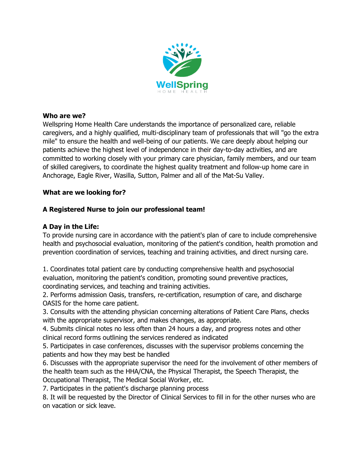

### **Who are we?**

Wellspring Home Health Care understands the importance of personalized care, reliable caregivers, and a highly qualified, multi-disciplinary team of professionals that will "go the extra mile" to ensure the health and well-being of our patients. We care deeply about helping our patients achieve the highest level of independence in their day-to-day activities, and are committed to working closely with your primary care physician, family members, and our team of skilled caregivers, to coordinate the highest quality treatment and follow-up home care in Anchorage, Eagle River, Wasilla, Sutton, Palmer and all of the Mat-Su Valley.

# **What are we looking for?**

# **A Registered Nurse to join our professional team!**

### **A Day in the Life:**

To provide nursing care in accordance with the patient's plan of care to include comprehensive health and psychosocial evaluation, monitoring of the patient's condition, health promotion and prevention coordination of services, teaching and training activities, and direct nursing care.

1. Coordinates total patient care by conducting comprehensive health and psychosocial evaluation, monitoring the patient's condition, promoting sound preventive practices, coordinating services, and teaching and training activities.

2. Performs admission Oasis, transfers, re-certification, resumption of care, and discharge OASIS for the home care patient.

3. Consults with the attending physician concerning alterations of Patient Care Plans, checks with the appropriate supervisor, and makes changes, as appropriate.

4. Submits clinical notes no less often than 24 hours a day, and progress notes and other clinical record forms outlining the services rendered as indicated

5. Participates in case conferences, discusses with the supervisor problems concerning the patients and how they may best be handled

6. Discusses with the appropriate supervisor the need for the involvement of other members of the health team such as the HHA/CNA, the Physical Therapist, the Speech Therapist, the Occupational Therapist, The Medical Social Worker, etc.

7. Participates in the patient's discharge planning process

8. It will be requested by the Director of Clinical Services to fill in for the other nurses who are on vacation or sick leave.